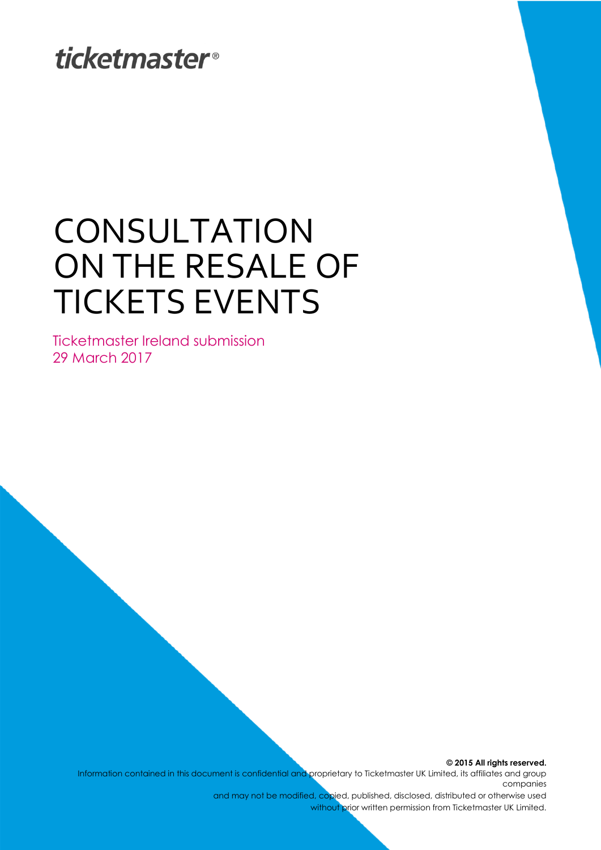## **ticketmaster**®

# CONSULTATION ON THE RESALE OF TICKETS EVENTS

Ticketmaster Ireland submission 29 March 2017

> **© 2015 All rights reserved.** Information contained in this document is confidential and proprietary to Ticketmaster UK Limited, its affiliates and group companies

> > and may not be modified, copied, published, disclosed, distributed or otherwise used without prior written permission from Ticketmaster UK Limited.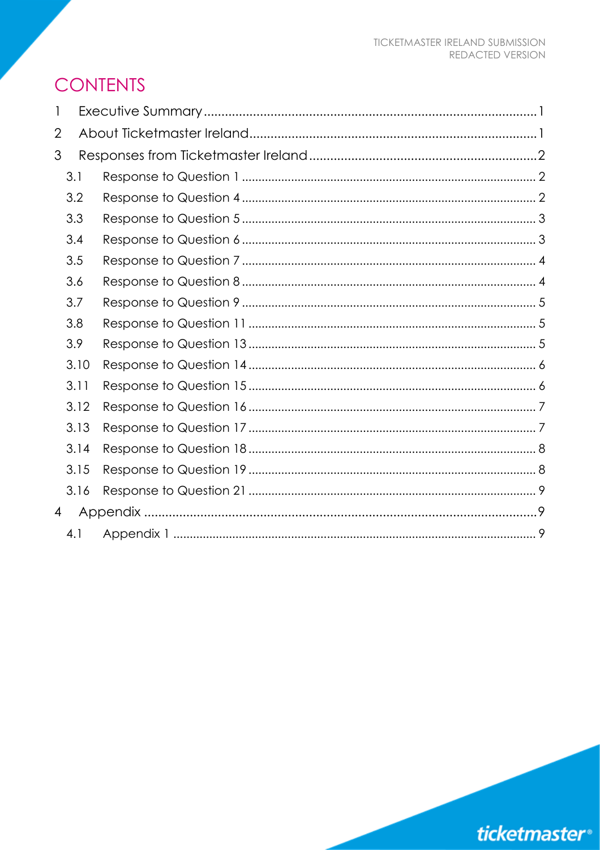### **CONTENTS**

| 1              |      |  |
|----------------|------|--|
| $\overline{2}$ |      |  |
| 3              |      |  |
|                | 3.1  |  |
|                | 3.2  |  |
|                | 3.3  |  |
|                | 3.4  |  |
|                | 3.5  |  |
|                | 3.6  |  |
|                | 3.7  |  |
|                | 3.8  |  |
|                | 3.9  |  |
|                | 3.10 |  |
|                | 3.11 |  |
|                | 3.12 |  |
|                | 3.13 |  |
|                | 3.14 |  |
|                | 3.15 |  |
|                | 3.16 |  |
| $\overline{4}$ |      |  |
|                | 4.1  |  |

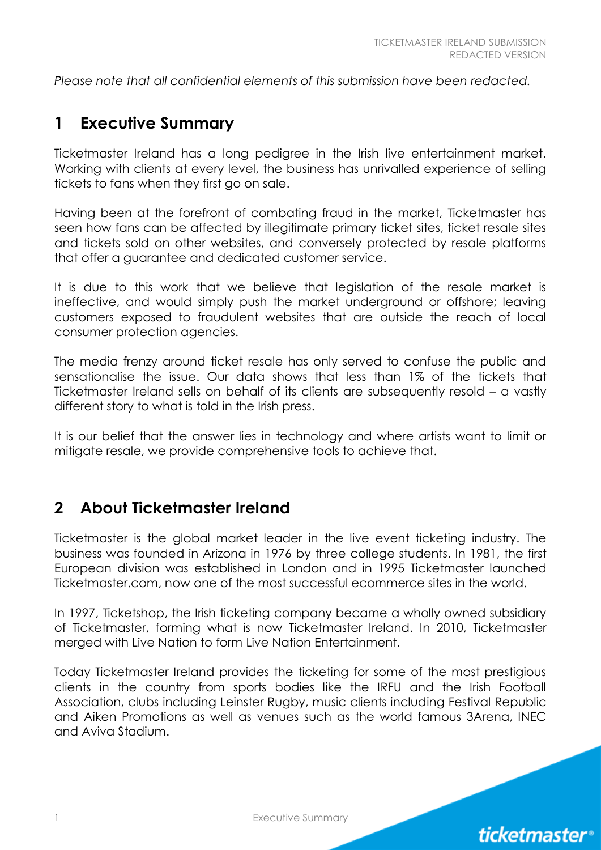*Please note that all confidential elements of this submission have been redacted.* 

#### **1 Executive Summary**

Ticketmaster Ireland has a long pedigree in the Irish live entertainment market. Working with clients at every level, the business has unrivalled experience of selling tickets to fans when they first go on sale.

Having been at the forefront of combating fraud in the market, Ticketmaster has seen how fans can be affected by illegitimate primary ticket sites, ticket resale sites and tickets sold on other websites, and conversely protected by resale platforms that offer a guarantee and dedicated customer service.

It is due to this work that we believe that legislation of the resale market is ineffective, and would simply push the market underground or offshore; leaving customers exposed to fraudulent websites that are outside the reach of local consumer protection agencies.

The media frenzy around ticket resale has only served to confuse the public and sensationalise the issue. Our data shows that less than 1% of the tickets that Ticketmaster Ireland sells on behalf of its clients are subsequently resold – a vastly different story to what is told in the Irish press.

It is our belief that the answer lies in technology and where artists want to limit or mitigate resale, we provide comprehensive tools to achieve that.

#### **2 About Ticketmaster Ireland**

Ticketmaster is the global market leader in the live event ticketing industry. The business was founded in Arizona in 1976 by three college students. In 1981, the first European division was established in London and in 1995 Ticketmaster launched Ticketmaster.com, now one of the most successful ecommerce sites in the world.

In 1997, Ticketshop, the Irish ticketing company became a wholly owned subsidiary of Ticketmaster, forming what is now Ticketmaster Ireland. In 2010, Ticketmaster merged with Live Nation to form Live Nation Entertainment.

Today Ticketmaster Ireland provides the ticketing for some of the most prestigious clients in the country from sports bodies like the IRFU and the Irish Football Association, clubs including Leinster Rugby, music clients including Festival Republic and Aiken Promotions as well as venues such as the world famous 3Arena, INEC and Aviva Stadium.

1 Executive Summary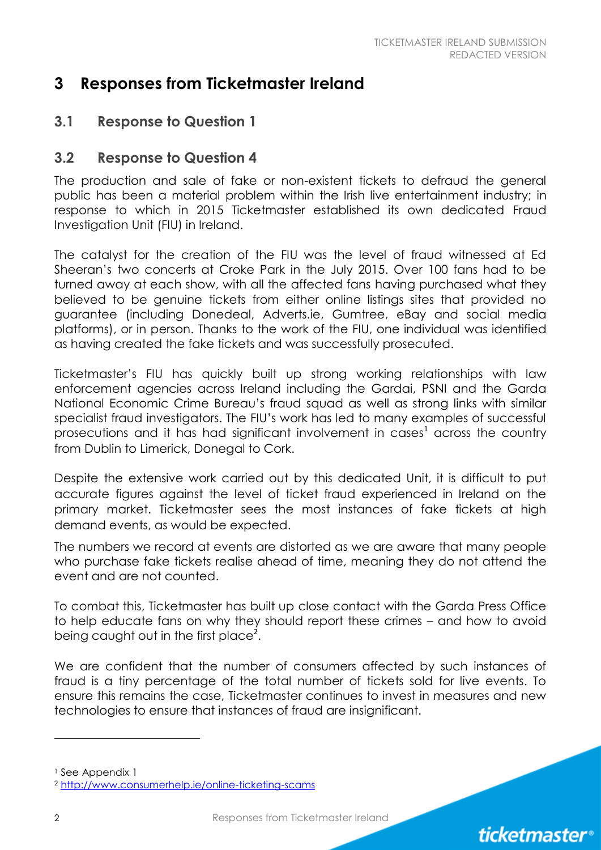#### **3 Responses from Ticketmaster Ireland**

#### **3.1 Response to Question 1**

#### **3.2 Response to Question 4**

The production and sale of fake or non-existent tickets to defraud the general public has been a material problem within the Irish live entertainment industry; in response to which in 2015 Ticketmaster established its own dedicated Fraud Investigation Unit (FIU) in Ireland.

The catalyst for the creation of the FIU was the level of fraud witnessed at Ed Sheeran's two concerts at Croke Park in the July 2015. Over 100 fans had to be turned away at each show, with all the affected fans having purchased what they believed to be genuine tickets from either online listings sites that provided no guarantee (including Donedeal, Adverts.ie, Gumtree, eBay and social media platforms), or in person. Thanks to the work of the FIU, one individual was identified as having created the fake tickets and was successfully prosecuted.

Ticketmaster's FIU has quickly built up strong working relationships with law enforcement agencies across Ireland including the Gardai, PSNI and the Garda National Economic Crime Bureau's fraud squad as well as strong links with similar specialist fraud investigators. The FIU's work has led to many examples of successful prosecutions and it has had significant involvement in  $cases<sup>1</sup>$  across the country from Dublin to Limerick, Donegal to Cork.

Despite the extensive work carried out by this dedicated Unit, it is difficult to put accurate figures against the level of ticket fraud experienced in Ireland on the primary market. Ticketmaster sees the most instances of fake tickets at high demand events, as would be expected.

The numbers we record at events are distorted as we are aware that many people who purchase fake tickets realise ahead of time, meaning they do not attend the event and are not counted.

To combat this, Ticketmaster has built up close contact with the Garda Press Office to help educate fans on why they should report these crimes – and how to avoid being caught out in the first place<sup>2</sup>.

We are confident that the number of consumers affected by such instances of fraud is a tiny percentage of the total number of tickets sold for live events. To ensure this remains the case, Ticketmaster continues to invest in measures and new technologies to ensure that instances of fraud are insignificant.

<sup>&</sup>lt;sup>1</sup> See Appendix 1

<sup>2</sup> <http://www.consumerhelp.ie/online-ticketing-scams>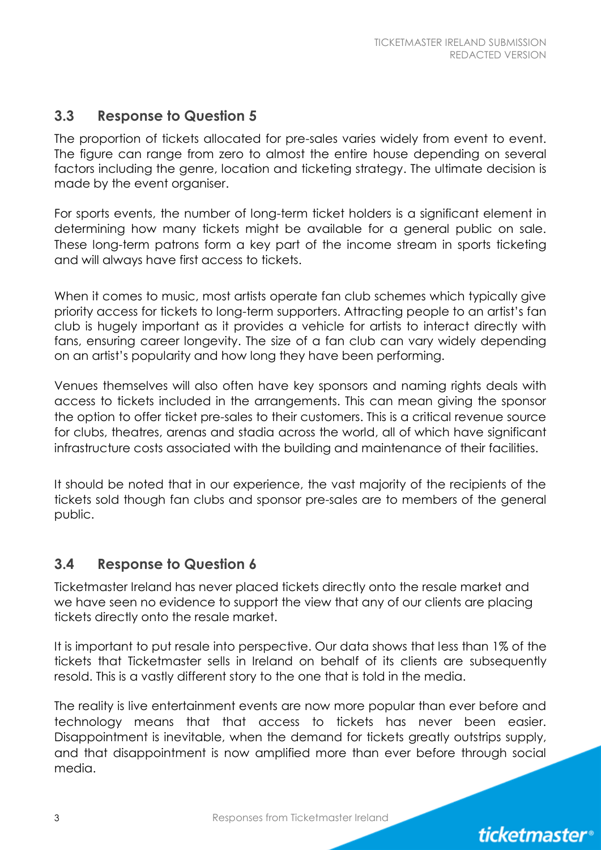**ticketmaster**<sup>®</sup>

#### **3.3 Response to Question 5**

The proportion of tickets allocated for pre-sales varies widely from event to event. The figure can range from zero to almost the entire house depending on several factors including the genre, location and ticketing strategy. The ultimate decision is made by the event organiser.

For sports events, the number of long-term ticket holders is a significant element in determining how many tickets might be available for a general public on sale. These long-term patrons form a key part of the income stream in sports ticketing and will always have first access to tickets.

When it comes to music, most artists operate fan club schemes which typically give priority access for tickets to long-term supporters. Attracting people to an artist's fan club is hugely important as it provides a vehicle for artists to interact directly with fans, ensuring career longevity. The size of a fan club can vary widely depending on an artist's popularity and how long they have been performing.

Venues themselves will also often have key sponsors and naming rights deals with access to tickets included in the arrangements. This can mean giving the sponsor the option to offer ticket pre-sales to their customers. This is a critical revenue source for clubs, theatres, arenas and stadia across the world, all of which have significant infrastructure costs associated with the building and maintenance of their facilities.

It should be noted that in our experience, the vast majority of the recipients of the tickets sold though fan clubs and sponsor pre-sales are to members of the general public.

#### **3.4 Response to Question 6**

Ticketmaster Ireland has never placed tickets directly onto the resale market and we have seen no evidence to support the view that any of our clients are placing tickets directly onto the resale market.

It is important to put resale into perspective. Our data shows that less than 1% of the tickets that Ticketmaster sells in Ireland on behalf of its clients are subsequently resold. This is a vastly different story to the one that is told in the media.

The reality is live entertainment events are now more popular than ever before and technology means that that access to tickets has never been easier. Disappointment is inevitable, when the demand for tickets greatly outstrips supply, and that disappointment is now amplified more than ever before through social media.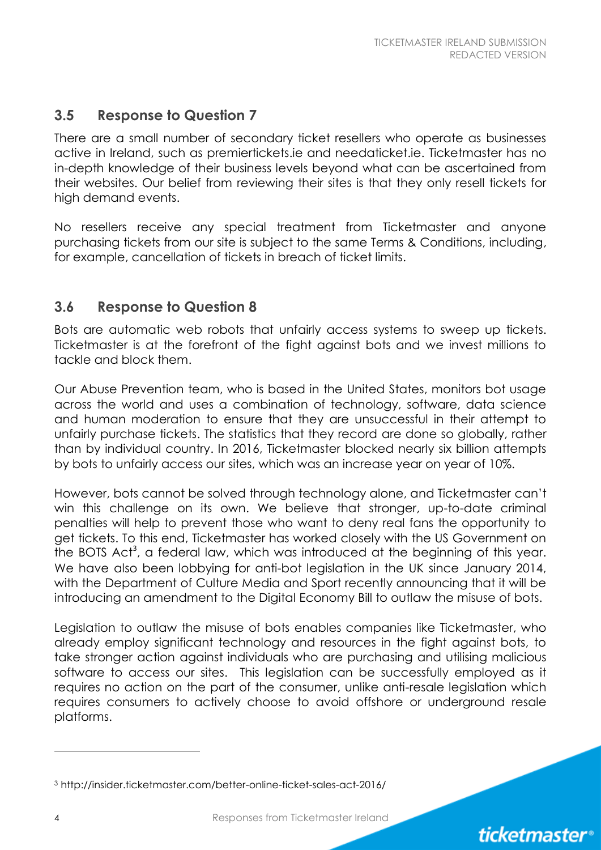#### **3.5 Response to Question 7**

There are a small number of secondary ticket resellers who operate as businesses active in Ireland, such as premiertickets.ie and needaticket.ie. Ticketmaster has no in-depth knowledge of their business levels beyond what can be ascertained from their websites. Our belief from reviewing their sites is that they only resell tickets for high demand events.

No resellers receive any special treatment from Ticketmaster and anyone purchasing tickets from our site is subject to the same Terms & Conditions, including, for example, cancellation of tickets in breach of ticket limits.

#### **3.6 Response to Question 8**

Bots are automatic web robots that unfairly access systems to sweep up tickets. Ticketmaster is at the forefront of the fight against bots and we invest millions to tackle and block them.

Our Abuse Prevention team, who is based in the United States, monitors bot usage across the world and uses a combination of technology, software, data science and human moderation to ensure that they are unsuccessful in their attempt to unfairly purchase tickets. The statistics that they record are done so globally, rather than by individual country. In 2016, Ticketmaster blocked nearly six billion attempts by bots to unfairly access our sites, which was an increase year on year of 10%.

However, bots cannot be solved through technology alone, and Ticketmaster can't win this challenge on its own. We believe that stronger, up-to-date criminal penalties will help to prevent those who want to deny real fans the opportunity to get tickets. To this end, Ticketmaster has worked closely with the US Government on the BOTS Act<sup>3</sup>, a federal law, which was introduced at the beginning of this year. We have also been lobbying for anti-bot legislation in the UK since January 2014, with the Department of Culture Media and Sport recently announcing that it will be introducing an amendment to the Digital Economy Bill to outlaw the misuse of bots.

Legislation to outlaw the misuse of bots enables companies like Ticketmaster, who already employ significant technology and resources in the fight against bots, to take stronger action against individuals who are purchasing and utilising malicious software to access our sites. This legislation can be successfully employed as it requires no action on the part of the consumer, unlike anti-resale legislation which requires consumers to actively choose to avoid offshore or underground resale platforms.

4 Responses from Ticketmaster Ireland

<sup>3</sup> http://insider.ticketmaster.com/better-online-ticket-sales-act-2016/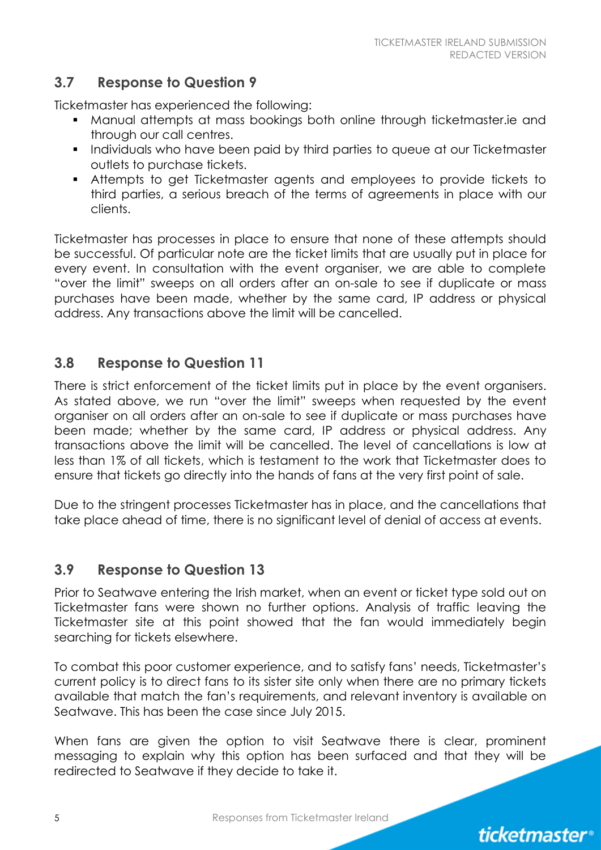#### **3.7 Response to Question 9**

Ticketmaster has experienced the following:

- Manual attempts at mass bookings both online through ticketmaster.ie and through our call centres.
- **Individuals who have been paid by third parties to queue at our Ticketmaster** outlets to purchase tickets.
- Attempts to get Ticketmaster agents and employees to provide tickets to third parties, a serious breach of the terms of agreements in place with our clients.

Ticketmaster has processes in place to ensure that none of these attempts should be successful. Of particular note are the ticket limits that are usually put in place for every event. In consultation with the event organiser, we are able to complete "over the limit" sweeps on all orders after an on-sale to see if duplicate or mass purchases have been made, whether by the same card, IP address or physical address. Any transactions above the limit will be cancelled.

#### **3.8 Response to Question 11**

There is strict enforcement of the ticket limits put in place by the event organisers. As stated above, we run "over the limit" sweeps when requested by the event organiser on all orders after an on-sale to see if duplicate or mass purchases have been made; whether by the same card, IP address or physical address. Any transactions above the limit will be cancelled. The level of cancellations is low at less than 1% of all tickets, which is testament to the work that Ticketmaster does to ensure that tickets go directly into the hands of fans at the very first point of sale.

Due to the stringent processes Ticketmaster has in place, and the cancellations that take place ahead of time, there is no significant level of denial of access at events.

#### **3.9 Response to Question 13**

Prior to Seatwave entering the Irish market, when an event or ticket type sold out on Ticketmaster fans were shown no further options. Analysis of traffic leaving the Ticketmaster site at this point showed that the fan would immediately begin searching for tickets elsewhere.

To combat this poor customer experience, and to satisfy fans' needs, Ticketmaster's current policy is to direct fans to its sister site only when there are no primary tickets available that match the fan's requirements, and relevant inventory is available on Seatwave. This has been the case since July 2015.

When fans are given the option to visit Seatwave there is clear, prominent messaging to explain why this option has been surfaced and that they will be redirected to Seatwave if they decide to take it.

5 Responses from Ticketmaster Ireland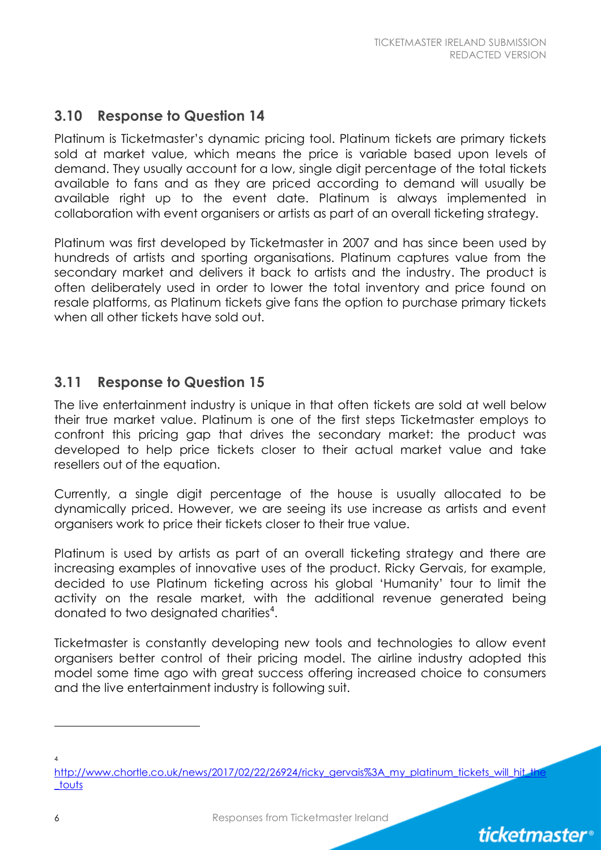*ticketmaster*<sup>®</sup>

#### **3.10 Response to Question 14**

Platinum is Ticketmaster's dynamic pricing tool. Platinum tickets are primary tickets sold at market value, which means the price is variable based upon levels of demand. They usually account for a low, single digit percentage of the total tickets available to fans and as they are priced according to demand will usually be available right up to the event date. Platinum is always implemented in collaboration with event organisers or artists as part of an overall ticketing strategy.

Platinum was first developed by Ticketmaster in 2007 and has since been used by hundreds of artists and sporting organisations. Platinum captures value from the secondary market and delivers it back to artists and the industry. The product is often deliberately used in order to lower the total inventory and price found on resale platforms, as Platinum tickets give fans the option to purchase primary tickets when all other tickets have sold out.

#### **3.11 Response to Question 15**

The live entertainment industry is unique in that often tickets are sold at well below their true market value. Platinum is one of the first steps Ticketmaster employs to confront this pricing gap that drives the secondary market: the product was developed to help price tickets closer to their actual market value and take resellers out of the equation.

Currently, a single digit percentage of the house is usually allocated to be dynamically priced. However, we are seeing its use increase as artists and event organisers work to price their tickets closer to their true value.

Platinum is used by artists as part of an overall ticketing strategy and there are increasing examples of innovative uses of the product. Ricky Gervais, for example, decided to use Platinum ticketing across his global 'Humanity' tour to limit the activity on the resale market, with the additional revenue generated being donated to two designated charities<sup>4</sup>.

Ticketmaster is constantly developing new tools and technologies to allow event organisers better control of their pricing model. The airline industry adopted this model some time ago with great success offering increased choice to consumers and the live entertainment industry is following suit.

4

[http://www.chortle.co.uk/news/2017/02/22/26924/ricky\\_gervais%3A\\_my\\_platinum\\_tickets\\_will\\_hit\\_the](http://www.chortle.co.uk/news/2017/02/22/26924/ricky_gervais%3A_my_platinum_tickets_will_hit_the_touts) [\\_touts](http://www.chortle.co.uk/news/2017/02/22/26924/ricky_gervais%3A_my_platinum_tickets_will_hit_the_touts)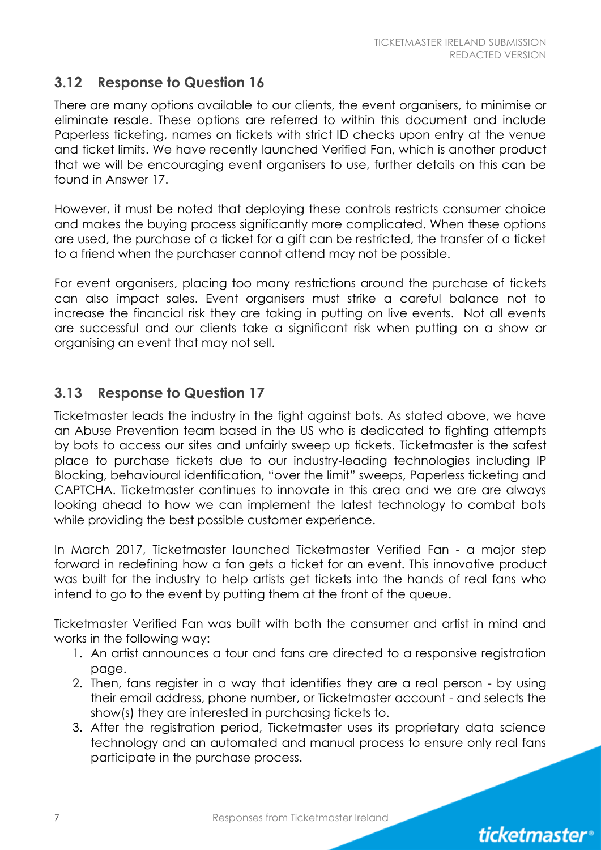#### **3.12 Response to Question 16**

There are many options available to our clients, the event organisers, to minimise or eliminate resale. These options are referred to within this document and include Paperless ticketing, names on tickets with strict ID checks upon entry at the venue and ticket limits. We have recently launched Verified Fan, which is another product that we will be encouraging event organisers to use, further details on this can be found in Answer 17.

However, it must be noted that deploying these controls restricts consumer choice and makes the buying process significantly more complicated. When these options are used, the purchase of a ticket for a gift can be restricted, the transfer of a ticket to a friend when the purchaser cannot attend may not be possible.

For event organisers, placing too many restrictions around the purchase of tickets can also impact sales. Event organisers must strike a careful balance not to increase the financial risk they are taking in putting on live events. Not all events are successful and our clients take a significant risk when putting on a show or organising an event that may not sell.

#### **3.13 Response to Question 17**

Ticketmaster leads the industry in the fight against bots. As stated above, we have an Abuse Prevention team based in the US who is dedicated to fighting attempts by bots to access our sites and unfairly sweep up tickets. Ticketmaster is the safest place to purchase tickets due to our industry-leading technologies including IP Blocking, behavioural identification, "over the limit" sweeps, Paperless ticketing and CAPTCHA. Ticketmaster continues to innovate in this area and we are are always looking ahead to how we can implement the latest technology to combat bots while providing the best possible customer experience.

In March 2017, Ticketmaster launched Ticketmaster Verified Fan - a major step forward in redefining how a fan gets a ticket for an event. This innovative product was built for the industry to help artists get tickets into the hands of real fans who intend to go to the event by putting them at the front of the queue.

Ticketmaster Verified Fan was built with both the consumer and artist in mind and works in the following way:

- 1. An artist announces a tour and fans are directed to a responsive registration page.
- 2. Then, fans register in a way that identifies they are a real person by using their email address, phone number, or Ticketmaster account - and selects the show(s) they are interested in purchasing tickets to.
- 3. After the registration period, Ticketmaster uses its proprietary data science technology and an automated and manual process to ensure only real fans participate in the purchase process.

7 Responses from Ticketmaster Ireland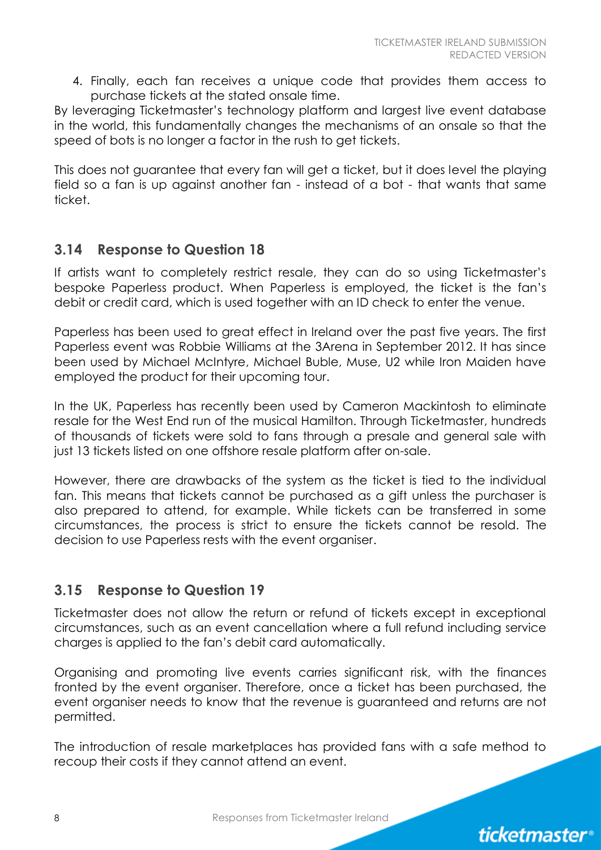4. Finally, each fan receives a unique code that provides them access to purchase tickets at the stated onsale time.

By leveraging Ticketmaster's technology platform and largest live event database in the world, this fundamentally changes the mechanisms of an onsale so that the speed of bots is no longer a factor in the rush to get tickets.

This does not guarantee that every fan will get a ticket, but it does level the playing field so a fan is up against another fan - instead of a bot - that wants that same ticket.

#### **3.14 Response to Question 18**

If artists want to completely restrict resale, they can do so using Ticketmaster's bespoke Paperless product. When Paperless is employed, the ticket is the fan's debit or credit card, which is used together with an ID check to enter the venue.

Paperless has been used to great effect in Ireland over the past five years. The first Paperless event was Robbie Williams at the 3Arena in September 2012. It has since been used by Michael McIntyre, Michael Buble, Muse, U2 while Iron Maiden have employed the product for their upcoming tour.

In the UK, Paperless has recently been used by Cameron Mackintosh to eliminate resale for the West End run of the musical Hamilton. Through Ticketmaster, hundreds of thousands of tickets were sold to fans through a presale and general sale with just 13 tickets listed on one offshore resale platform after on-sale.

However, there are drawbacks of the system as the ticket is tied to the individual fan. This means that tickets cannot be purchased as a gift unless the purchaser is also prepared to attend, for example. While tickets can be transferred in some circumstances, the process is strict to ensure the tickets cannot be resold. The decision to use Paperless rests with the event organiser.

#### **3.15 Response to Question 19**

Ticketmaster does not allow the return or refund of tickets except in exceptional circumstances, such as an event cancellation where a full refund including service charges is applied to the fan's debit card automatically.

Organising and promoting live events carries significant risk, with the finances fronted by the event organiser. Therefore, once a ticket has been purchased, the event organiser needs to know that the revenue is guaranteed and returns are not permitted.

The introduction of resale marketplaces has provided fans with a safe method to recoup their costs if they cannot attend an event.

8 **8** Responses from Ticketmaster Ireland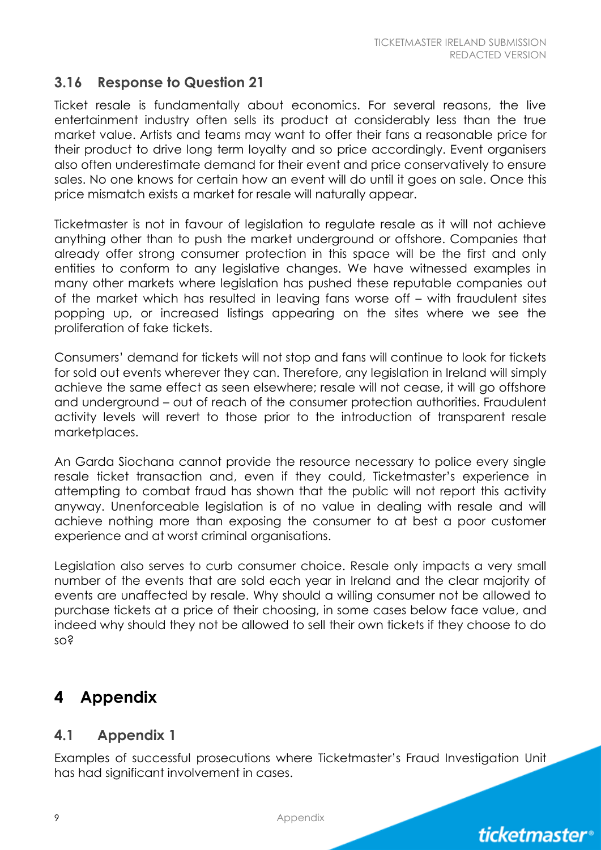#### **3.16 Response to Question 21**

Ticket resale is fundamentally about economics. For several reasons, the live entertainment industry often sells its product at considerably less than the true market value. Artists and teams may want to offer their fans a reasonable price for their product to drive long term loyalty and so price accordingly. Event organisers also often underestimate demand for their event and price conservatively to ensure sales. No one knows for certain how an event will do until it goes on sale. Once this price mismatch exists a market for resale will naturally appear.

Ticketmaster is not in favour of legislation to regulate resale as it will not achieve anything other than to push the market underground or offshore. Companies that already offer strong consumer protection in this space will be the first and only entities to conform to any legislative changes. We have witnessed examples in many other markets where legislation has pushed these reputable companies out of the market which has resulted in leaving fans worse off – with fraudulent sites popping up, or increased listings appearing on the sites where we see the proliferation of fake tickets.

Consumers' demand for tickets will not stop and fans will continue to look for tickets for sold out events wherever they can. Therefore, any legislation in Ireland will simply achieve the same effect as seen elsewhere; resale will not cease, it will go offshore and underground – out of reach of the consumer protection authorities. Fraudulent activity levels will revert to those prior to the introduction of transparent resale marketplaces.

An Garda Siochana cannot provide the resource necessary to police every single resale ticket transaction and, even if they could, Ticketmaster's experience in attempting to combat fraud has shown that the public will not report this activity anyway. Unenforceable legislation is of no value in dealing with resale and will achieve nothing more than exposing the consumer to at best a poor customer experience and at worst criminal organisations.

Legislation also serves to curb consumer choice. Resale only impacts a very small number of the events that are sold each year in Ireland and the clear majority of events are unaffected by resale. Why should a willing consumer not be allowed to purchase tickets at a price of their choosing, in some cases below face value, and indeed why should they not be allowed to sell their own tickets if they choose to do so?

#### **4 Appendix**

#### **4.1 Appendix 1**

Examples of successful prosecutions where Ticketmaster's Fraud Investigation Unit has had significant involvement in cases.